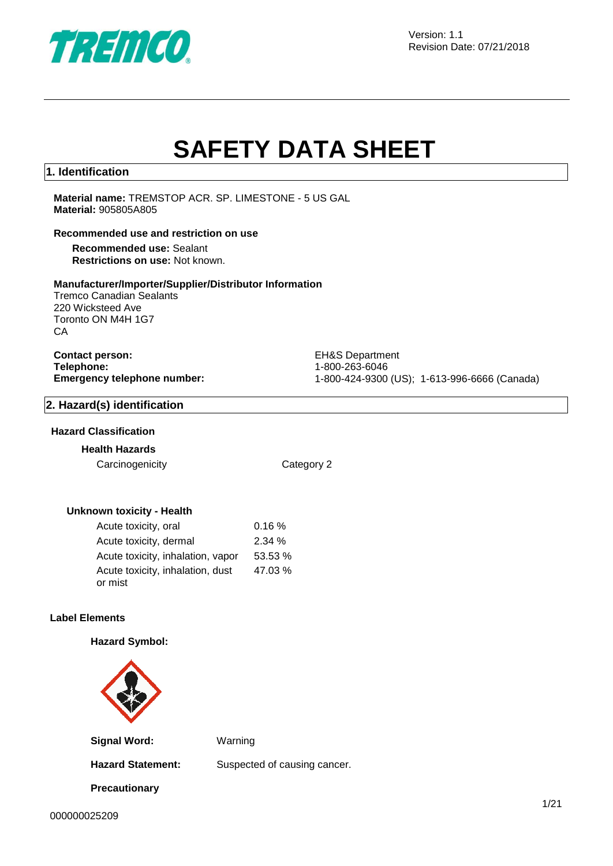

Version: 1.1 Revision Date: 07/21/2018

# **SAFETY DATA SHEET**

#### **1. Identification**

**Material name:** TREMSTOP ACR. SP. LIMESTONE - 5 US GAL **Material:** 905805A805

#### **Recommended use and restriction on use**

**Recommended use:** Sealant **Restrictions on use:** Not known.

#### **Manufacturer/Importer/Supplier/Distributor Information**

Tremco Canadian Sealants 220 Wicksteed Ave Toronto ON M4H 1G7 **CA** 

# **Contact person:** EH&S Department **Telephone:** 1-800-263-6046<br> **Emergency telephone number:** 1-800-424-9300

**Emergency telephone number:** 1-800-424-9300 (US); 1-613-996-6666 (Canada)

#### **2. Hazard(s) identification**

#### **Hazard Classification**

#### **Health Hazards**

Carcinogenicity Category 2

#### **Unknown toxicity - Health**

| Acute toxicity, oral              | 0.16%   |
|-----------------------------------|---------|
| Acute toxicity, dermal            | 2.34%   |
| Acute toxicity, inhalation, vapor | 53.53 % |
| Acute toxicity, inhalation, dust  | 47.03 % |
| or mist                           |         |

#### **Label Elements**

#### **Hazard Symbol:**



**Signal Word:** Warning

**Precautionary** 

Hazard Statement: Suspected of causing cancer.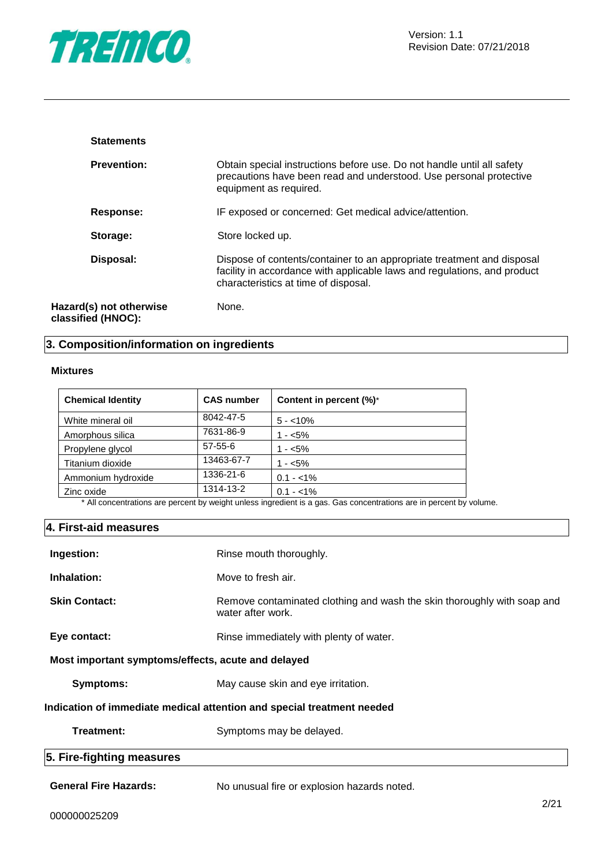

| <b>Statements</b>                             |                                                                                                                                                                                            |
|-----------------------------------------------|--------------------------------------------------------------------------------------------------------------------------------------------------------------------------------------------|
| <b>Prevention:</b>                            | Obtain special instructions before use. Do not handle until all safety<br>precautions have been read and understood. Use personal protective<br>equipment as required.                     |
| Response:                                     | IF exposed or concerned: Get medical advice/attention.                                                                                                                                     |
| Storage:                                      | Store locked up.                                                                                                                                                                           |
| Disposal:                                     | Dispose of contents/container to an appropriate treatment and disposal<br>facility in accordance with applicable laws and regulations, and product<br>characteristics at time of disposal. |
| Hazard(s) not otherwise<br>classified (HNOC): | None.                                                                                                                                                                                      |

## **3. Composition/information on ingredients**

#### **Mixtures**

| <b>Chemical Identity</b> | <b>CAS number</b> | Content in percent (%)*                                                                                    |
|--------------------------|-------------------|------------------------------------------------------------------------------------------------------------|
| White mineral oil        | 8042-47-5         | $5 - 10\%$                                                                                                 |
| Amorphous silica         | 7631-86-9         | $1 - 5\%$                                                                                                  |
| Propylene glycol         | 57-55-6           | $1 - 5\%$                                                                                                  |
| Titanium dioxide         | 13463-67-7        | $1 - 5\%$                                                                                                  |
| Ammonium hydroxide       | 1336-21-6         | $0.1 - 1\%$                                                                                                |
| Zinc oxide               | 1314-13-2         | $0.1 - 1\%$                                                                                                |
|                          |                   | * All concentrations are persont by wordt unless ingradiant is a gen. Cas concentrations are in persont by |

All concentrations are percent by weight unless ingredient is a gas. Gas concentrations are in percent by volume.

#### **4. First-aid measures**

| Ingestion:                                         | Rinse mouth thoroughly.                                                                      |
|----------------------------------------------------|----------------------------------------------------------------------------------------------|
| Inhalation:                                        | Move to fresh air.                                                                           |
| <b>Skin Contact:</b>                               | Remove contaminated clothing and wash the skin thoroughly with soap and<br>water after work. |
| Eye contact:                                       | Rinse immediately with plenty of water.                                                      |
| Most important symptoms/effects, acute and delayed |                                                                                              |
| Symptoms:                                          | May cause skin and eye irritation.                                                           |
|                                                    | Indication of immediate medical attention and special treatment needed                       |
| Treatment:                                         | Symptoms may be delayed.                                                                     |
| 5. Fire-fighting measures                          |                                                                                              |
| <b>General Fire Hazards:</b>                       | No unusual fire or explosion hazards noted.<br>$\sim$ $\sim$ $\sim$                          |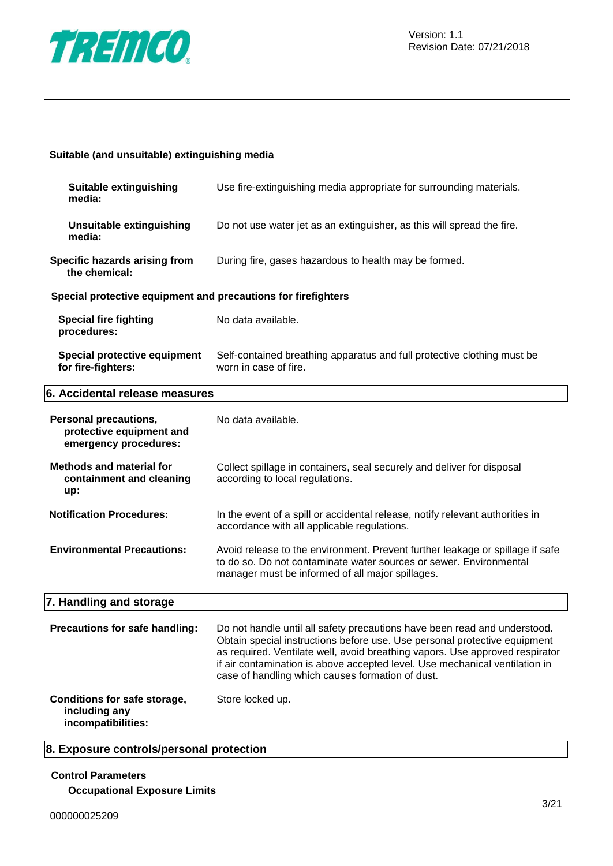

#### **Suitable (and unsuitable) extinguishing media**

| Suitable extinguishing<br>media:                                                  | Use fire-extinguishing media appropriate for surrounding materials.                                                                                                                                                                                                                                                                                                       |
|-----------------------------------------------------------------------------------|---------------------------------------------------------------------------------------------------------------------------------------------------------------------------------------------------------------------------------------------------------------------------------------------------------------------------------------------------------------------------|
| <b>Unsuitable extinguishing</b><br>media:                                         | Do not use water jet as an extinguisher, as this will spread the fire.                                                                                                                                                                                                                                                                                                    |
| Specific hazards arising from<br>the chemical:                                    | During fire, gases hazardous to health may be formed.                                                                                                                                                                                                                                                                                                                     |
| Special protective equipment and precautions for firefighters                     |                                                                                                                                                                                                                                                                                                                                                                           |
| <b>Special fire fighting</b><br>procedures:                                       | No data available.                                                                                                                                                                                                                                                                                                                                                        |
| <b>Special protective equipment</b><br>for fire-fighters:                         | Self-contained breathing apparatus and full protective clothing must be<br>worn in case of fire.                                                                                                                                                                                                                                                                          |
| 6. Accidental release measures                                                    |                                                                                                                                                                                                                                                                                                                                                                           |
| <b>Personal precautions,</b><br>protective equipment and<br>emergency procedures: | No data available.                                                                                                                                                                                                                                                                                                                                                        |
| <b>Methods and material for</b><br>containment and cleaning<br>up:                | Collect spillage in containers, seal securely and deliver for disposal<br>according to local regulations.                                                                                                                                                                                                                                                                 |
| <b>Notification Procedures:</b>                                                   | In the event of a spill or accidental release, notify relevant authorities in<br>accordance with all applicable regulations.                                                                                                                                                                                                                                              |
| <b>Environmental Precautions:</b>                                                 | Avoid release to the environment. Prevent further leakage or spillage if safe<br>to do so. Do not contaminate water sources or sewer. Environmental<br>manager must be informed of all major spillages.                                                                                                                                                                   |
| 7. Handling and storage                                                           |                                                                                                                                                                                                                                                                                                                                                                           |
| Precautions for safe handling:                                                    | Do not handle until all safety precautions have been read and understood.<br>Obtain special instructions before use. Use personal protective equipment<br>as required. Ventilate well, avoid breathing vapors. Use approved respirator<br>if air contamination is above accepted level. Use mechanical ventilation in<br>case of handling which causes formation of dust. |
| Conditions for safe storage,<br>including any<br>incompatibilities:               | Store locked up.                                                                                                                                                                                                                                                                                                                                                          |

#### **8. Exposure controls/personal protection**

#### **Control Parameters**

**Occupational Exposure Limits**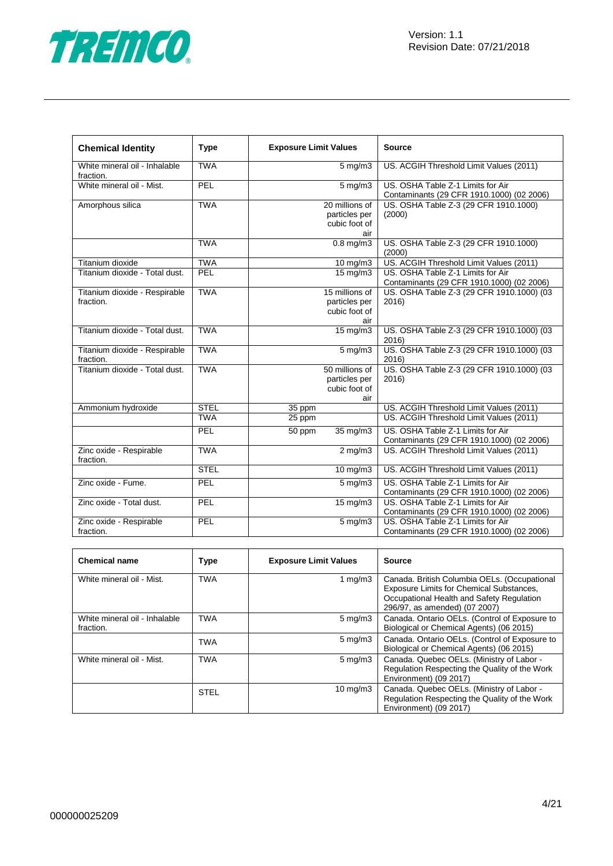

| <b>Chemical Identity</b>                   | <b>Type</b> | <b>Exposure Limit Values</b> |                                                         | <b>Source</b>                                                                  |
|--------------------------------------------|-------------|------------------------------|---------------------------------------------------------|--------------------------------------------------------------------------------|
| White mineral oil - Inhalable<br>fraction. | <b>TWA</b>  | $5$ mg/m $3$                 |                                                         | US. ACGIH Threshold Limit Values (2011)                                        |
| White mineral oil - Mist.                  | PEL         |                              | $5 \text{ mg/m}$ 3                                      | US. OSHA Table Z-1 Limits for Air<br>Contaminants (29 CFR 1910.1000) (02 2006) |
| Amorphous silica                           | <b>TWA</b>  |                              | 20 millions of<br>particles per<br>cubic foot of<br>air | US. OSHA Table Z-3 (29 CFR 1910.1000)<br>(2000)                                |
|                                            | <b>TWA</b>  |                              | $0.8$ mg/m $3$                                          | US. OSHA Table Z-3 (29 CFR 1910.1000)<br>(2000)                                |
| Titanium dioxide                           | <b>TWA</b>  |                              | $10 \text{ mg/m}$                                       | US. ACGIH Threshold Limit Values (2011)                                        |
| Titanium dioxide - Total dust.             | PEL         |                              | $15 \text{ mg/m}$                                       | US. OSHA Table Z-1 Limits for Air<br>Contaminants (29 CFR 1910.1000) (02 2006) |
| Titanium dioxide - Respirable<br>fraction. | <b>TWA</b>  |                              | 15 millions of<br>particles per<br>cubic foot of<br>air | US. OSHA Table Z-3 (29 CFR 1910.1000) (03<br>2016)                             |
| Titanium dioxide - Total dust.             | <b>TWA</b>  |                              | 15 mg/m3                                                | US. OSHA Table Z-3 (29 CFR 1910.1000) (03<br>2016)                             |
| Titanium dioxide - Respirable<br>fraction. | <b>TWA</b>  |                              | $5 \,\mathrm{mg/m}$                                     | US. OSHA Table Z-3 (29 CFR 1910.1000) (03<br>2016)                             |
| Titanium dioxide - Total dust.             | <b>TWA</b>  |                              | 50 millions of<br>particles per<br>cubic foot of<br>air | US. OSHA Table Z-3 (29 CFR 1910.1000) (03<br>2016)                             |
| Ammonium hydroxide                         | <b>STEL</b> | 35 ppm                       |                                                         | US. ACGIH Threshold Limit Values (2011)                                        |
|                                            | <b>TWA</b>  | 25 ppm                       |                                                         | US. ACGIH Threshold Limit Values (2011)                                        |
|                                            | PEL         | 50 ppm                       | 35 mg/m3                                                | US. OSHA Table Z-1 Limits for Air<br>Contaminants (29 CFR 1910.1000) (02 2006) |
| Zinc oxide - Respirable<br>fraction.       | <b>TWA</b>  |                              | $2$ mg/m $3$                                            | US. ACGIH Threshold Limit Values (2011)                                        |
|                                            | <b>STEL</b> |                              | $10$ mg/m $3$                                           | US. ACGIH Threshold Limit Values (2011)                                        |
| Zinc oxide - Fume.                         | PEL         |                              | $5$ mg/m $3$                                            | US. OSHA Table Z-1 Limits for Air<br>Contaminants (29 CFR 1910.1000) (02 2006) |
| Zinc oxide - Total dust.                   | PEL         |                              | $15 \,\mathrm{mg/m}$                                    | US. OSHA Table Z-1 Limits for Air<br>Contaminants (29 CFR 1910.1000) (02 2006) |
| Zinc oxide - Respirable<br>fraction.       | PEL         |                              | $5 \,\mathrm{mg/m}$                                     | US. OSHA Table Z-1 Limits for Air<br>Contaminants (29 CFR 1910.1000) (02 2006) |

| <b>Chemical name</b>                       | Type        | <b>Exposure Limit Values</b> | <b>Source</b>                                                                                                                                                          |
|--------------------------------------------|-------------|------------------------------|------------------------------------------------------------------------------------------------------------------------------------------------------------------------|
| White mineral oil - Mist.                  | <b>TWA</b>  | 1 mg/m $3$                   | Canada. British Columbia OELs. (Occupational<br>Exposure Limits for Chemical Substances,<br>Occupational Health and Safety Regulation<br>296/97, as amended) (07 2007) |
| White mineral oil - Inhalable<br>fraction. | <b>TWA</b>  | $5 \text{ mg/m}$             | Canada. Ontario OELs. (Control of Exposure to<br>Biological or Chemical Agents) (06 2015)                                                                              |
|                                            | <b>TWA</b>  | $5 \text{ mg/m}$             | Canada. Ontario OELs. (Control of Exposure to<br>Biological or Chemical Agents) (06 2015)                                                                              |
| White mineral oil - Mist.                  | <b>TWA</b>  | $5 \text{ mg/m}$             | Canada. Quebec OELs. (Ministry of Labor -<br>Regulation Respecting the Quality of the Work<br>Environment) (09 2017)                                                   |
|                                            | <b>STEL</b> | $10 \text{ mg/m}$            | Canada. Quebec OELs. (Ministry of Labor -<br>Regulation Respecting the Quality of the Work<br>Environment) (09 2017)                                                   |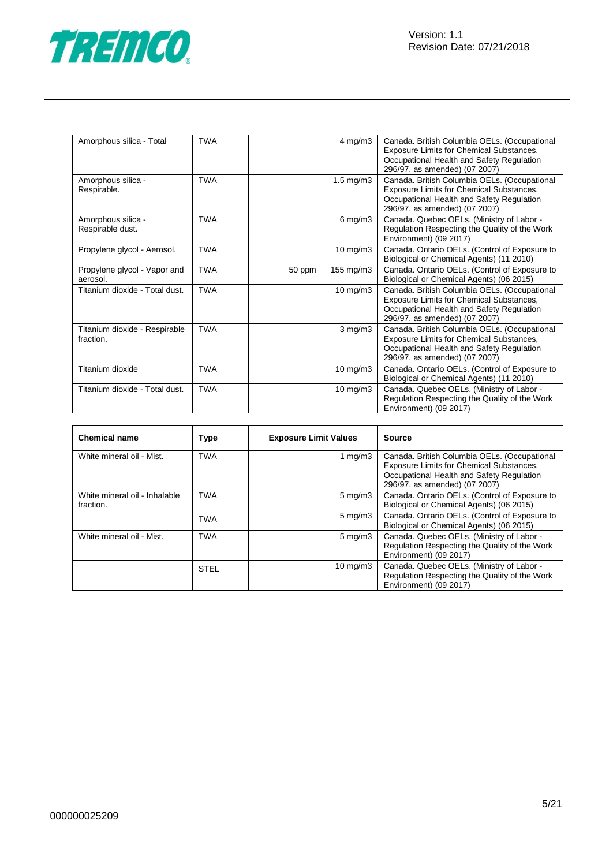

| Amorphous silica - Total                   | <b>TWA</b> |        | $4 \text{ mg/m}$ 3   | Canada. British Columbia OELs. (Occupational<br>Exposure Limits for Chemical Substances,<br>Occupational Health and Safety Regulation<br>296/97, as amended) (07 2007)        |
|--------------------------------------------|------------|--------|----------------------|-------------------------------------------------------------------------------------------------------------------------------------------------------------------------------|
| Amorphous silica -<br>Respirable.          | <b>TWA</b> |        | $1.5 \text{ mg/m}$ 3 | Canada. British Columbia OELs. (Occupational<br>Exposure Limits for Chemical Substances,<br>Occupational Health and Safety Regulation<br>296/97, as amended) (07 2007)        |
| Amorphous silica -<br>Respirable dust.     | <b>TWA</b> |        | $6 \text{ mg/m}$ 3   | Canada. Quebec OELs. (Ministry of Labor -<br>Regulation Respecting the Quality of the Work<br>Environment) (09 2017)                                                          |
| Propylene glycol - Aerosol.                | <b>TWA</b> |        | $10 \text{ mg/m}$    | Canada. Ontario OELs. (Control of Exposure to<br>Biological or Chemical Agents) (11 2010)                                                                                     |
| Propylene glycol - Vapor and<br>aerosol.   | <b>TWA</b> | 50 ppm | $155 \text{ mg/m}$ 3 | Canada. Ontario OELs. (Control of Exposure to<br>Biological or Chemical Agents) (06 2015)                                                                                     |
| Titanium dioxide - Total dust.             | <b>TWA</b> |        | $10$ mg/m $3$        | Canada. British Columbia OELs. (Occupational<br><b>Exposure Limits for Chemical Substances,</b><br>Occupational Health and Safety Regulation<br>296/97, as amended) (07 2007) |
| Titanium dioxide - Respirable<br>fraction. | <b>TWA</b> |        | $3$ mg/m $3$         | Canada. British Columbia OELs. (Occupational<br>Exposure Limits for Chemical Substances,<br>Occupational Health and Safety Regulation<br>296/97, as amended) (07 2007)        |
| Titanium dioxide                           | <b>TWA</b> |        | $10 \text{ mg/m}$    | Canada. Ontario OELs. (Control of Exposure to<br>Biological or Chemical Agents) (11 2010)                                                                                     |
| Titanium dioxide - Total dust.             | <b>TWA</b> |        | 10 mg/m3             | Canada. Quebec OELs. (Ministry of Labor -<br>Regulation Respecting the Quality of the Work<br>Environment) (09 2017)                                                          |

| <b>Chemical name</b>                       | <b>Type</b> | <b>Exposure Limit Values</b> | <b>Source</b>                                                                                                                                                          |
|--------------------------------------------|-------------|------------------------------|------------------------------------------------------------------------------------------------------------------------------------------------------------------------|
| White mineral oil - Mist.                  | <b>TWA</b>  | 1 $mg/m3$                    | Canada. British Columbia OELs. (Occupational<br>Exposure Limits for Chemical Substances,<br>Occupational Health and Safety Regulation<br>296/97, as amended) (07 2007) |
| White mineral oil - Inhalable<br>fraction. | <b>TWA</b>  | $5 \text{ mg/m}$             | Canada. Ontario OELs. (Control of Exposure to<br>Biological or Chemical Agents) (06 2015)                                                                              |
|                                            | <b>TWA</b>  | $5 \text{ mg/m}$             | Canada. Ontario OELs. (Control of Exposure to<br>Biological or Chemical Agents) (06 2015)                                                                              |
| White mineral oil - Mist.                  | <b>TWA</b>  | $5 \text{ mg/m}$ 3           | Canada. Quebec OELs. (Ministry of Labor -<br>Regulation Respecting the Quality of the Work<br>Environment) (09 2017)                                                   |
|                                            | <b>STEL</b> | $10 \text{ mg/m}$            | Canada. Quebec OELs. (Ministry of Labor -<br>Regulation Respecting the Quality of the Work<br>Environment) (09 2017)                                                   |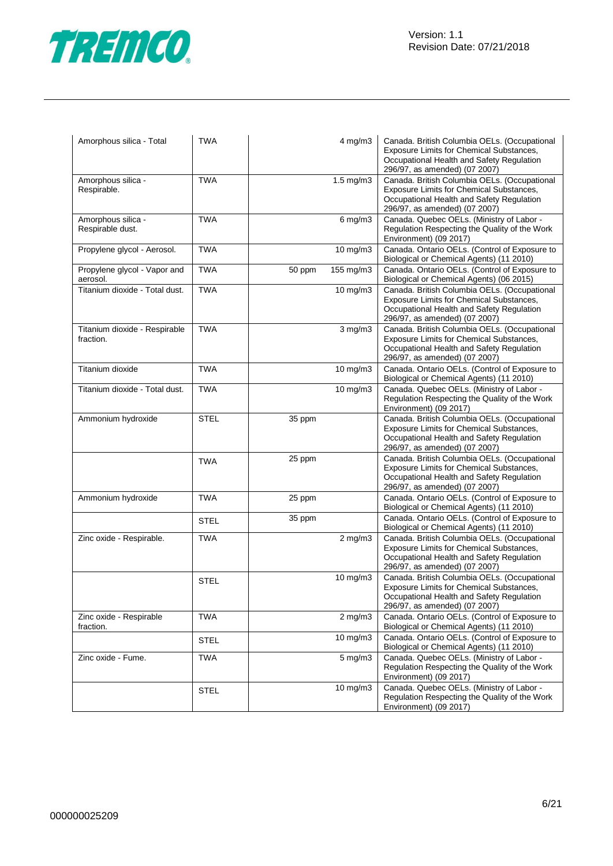

| Amorphous silica - Total                   | <b>TWA</b>  |        | $4$ mg/m $3$         | Canada. British Columbia OELs. (Occupational<br>Exposure Limits for Chemical Substances,<br>Occupational Health and Safety Regulation<br>296/97, as amended) (07 2007)        |
|--------------------------------------------|-------------|--------|----------------------|-------------------------------------------------------------------------------------------------------------------------------------------------------------------------------|
| Amorphous silica -<br>Respirable.          | <b>TWA</b>  |        | $1.5 \text{ mg/m}$ 3 | Canada. British Columbia OELs. (Occupational<br>Exposure Limits for Chemical Substances,<br>Occupational Health and Safety Regulation<br>296/97, as amended) (07 2007)        |
| Amorphous silica -<br>Respirable dust.     | <b>TWA</b>  |        | $6$ mg/m $3$         | Canada. Quebec OELs. (Ministry of Labor -<br>Regulation Respecting the Quality of the Work<br>Environment) (09 2017)                                                          |
| Propylene glycol - Aerosol.                | <b>TWA</b>  |        | 10 mg/m3             | Canada. Ontario OELs. (Control of Exposure to<br>Biological or Chemical Agents) (11 2010)                                                                                     |
| Propylene glycol - Vapor and<br>aerosol.   | <b>TWA</b>  | 50 ppm | 155 mg/m3            | Canada. Ontario OELs. (Control of Exposure to<br>Biological or Chemical Agents) (06 2015)                                                                                     |
| Titanium dioxide - Total dust.             | <b>TWA</b>  |        | 10 mg/m3             | Canada. British Columbia OELs. (Occupational<br>Exposure Limits for Chemical Substances,<br>Occupational Health and Safety Regulation<br>296/97, as amended) (07 2007)        |
| Titanium dioxide - Respirable<br>fraction. | <b>TWA</b>  |        | $3$ mg/m $3$         | Canada. British Columbia OELs. (Occupational<br><b>Exposure Limits for Chemical Substances,</b><br>Occupational Health and Safety Regulation<br>296/97, as amended) (07 2007) |
| Titanium dioxide                           | <b>TWA</b>  |        | 10 mg/m3             | Canada. Ontario OELs. (Control of Exposure to<br>Biological or Chemical Agents) (11 2010)                                                                                     |
| Titanium dioxide - Total dust.             | <b>TWA</b>  |        | 10 mg/m3             | Canada. Quebec OELs. (Ministry of Labor -<br>Regulation Respecting the Quality of the Work<br>Environment) (09 2017)                                                          |
| Ammonium hydroxide                         | <b>STEL</b> | 35 ppm |                      | Canada. British Columbia OELs. (Occupational<br>Exposure Limits for Chemical Substances,<br>Occupational Health and Safety Regulation<br>296/97, as amended) (07 2007)        |
|                                            | <b>TWA</b>  | 25 ppm |                      | Canada. British Columbia OELs. (Occupational<br>Exposure Limits for Chemical Substances,<br>Occupational Health and Safety Regulation<br>296/97, as amended) (07 2007)        |
| Ammonium hydroxide                         | <b>TWA</b>  | 25 ppm |                      | Canada. Ontario OELs. (Control of Exposure to<br>Biological or Chemical Agents) (11 2010)                                                                                     |
|                                            | <b>STEL</b> | 35 ppm |                      | Canada. Ontario OELs. (Control of Exposure to<br>Biological or Chemical Agents) (11 2010)                                                                                     |
| Zinc oxide - Respirable.                   | <b>TWA</b>  |        | $2$ mg/m $3$         | Canada. British Columbia OELs. (Occupational<br>Exposure Limits for Chemical Substances,<br>Occupational Health and Safety Regulation<br>296/97, as amended) (07 2007)        |
|                                            | <b>STEL</b> |        | 10 mg/m3             | Canada. British Columbia OELs. (Occupational<br>Exposure Limits for Chemical Substances,<br>Occupational Health and Safety Regulation<br>296/97, as amended) (07 2007)        |
| Zinc oxide - Respirable<br>fraction.       | <b>TWA</b>  |        | $2$ mg/m $3$         | Canada. Ontario OELs. (Control of Exposure to<br>Biological or Chemical Agents) (11 2010)                                                                                     |
|                                            | <b>STEL</b> |        | $10 \text{ mg/m}$    | Canada. Ontario OELs. (Control of Exposure to<br>Biological or Chemical Agents) (11 2010)                                                                                     |
| Zinc oxide - Fume.                         | <b>TWA</b>  |        | $5 \text{ mg/m}$     | Canada. Quebec OELs. (Ministry of Labor -<br>Regulation Respecting the Quality of the Work<br>Environment) (09 2017)                                                          |
|                                            | <b>STEL</b> |        | 10 mg/m3             | Canada. Quebec OELs. (Ministry of Labor -<br>Regulation Respecting the Quality of the Work<br>Environment) (09 2017)                                                          |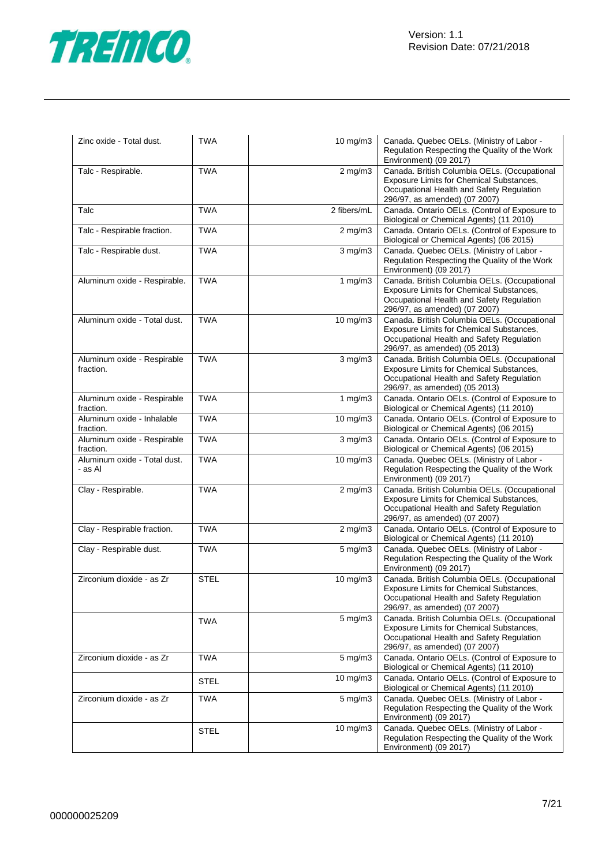

| Zinc oxide - Total dust.                 | <b>TWA</b>  | 10 mg/m3          | Canada. Quebec OELs. (Ministry of Labor -<br>Regulation Respecting the Quality of the Work<br>Environment) (09 2017)                                                   |
|------------------------------------------|-------------|-------------------|------------------------------------------------------------------------------------------------------------------------------------------------------------------------|
| Talc - Respirable.                       | <b>TWA</b>  | $2$ mg/m $3$      | Canada. British Columbia OELs. (Occupational<br>Exposure Limits for Chemical Substances,<br>Occupational Health and Safety Regulation<br>296/97, as amended) (07 2007) |
| Talc                                     | <b>TWA</b>  | 2 fibers/mL       | Canada. Ontario OELs. (Control of Exposure to<br>Biological or Chemical Agents) (11 2010)                                                                              |
| Talc - Respirable fraction.              | <b>TWA</b>  | $2$ mg/m $3$      | Canada. Ontario OELs. (Control of Exposure to<br>Biological or Chemical Agents) (06 2015)                                                                              |
| Talc - Respirable dust.                  | <b>TWA</b>  | $3$ mg/m $3$      | Canada. Quebec OELs. (Ministry of Labor -<br>Regulation Respecting the Quality of the Work<br>Environment) (09 2017)                                                   |
| Aluminum oxide - Respirable.             | <b>TWA</b>  | 1 $mg/m3$         | Canada. British Columbia OELs. (Occupational<br>Exposure Limits for Chemical Substances,<br>Occupational Health and Safety Regulation<br>296/97, as amended) (07 2007) |
| Aluminum oxide - Total dust.             | <b>TWA</b>  | $10 \text{ mg/m}$ | Canada. British Columbia OELs. (Occupational<br>Exposure Limits for Chemical Substances,<br>Occupational Health and Safety Regulation<br>296/97, as amended) (05 2013) |
| Aluminum oxide - Respirable<br>fraction. | <b>TWA</b>  | $3$ mg/m $3$      | Canada. British Columbia OELs. (Occupational<br>Exposure Limits for Chemical Substances,<br>Occupational Health and Safety Regulation<br>296/97, as amended) (05 2013) |
| Aluminum oxide - Respirable<br>fraction. | <b>TWA</b>  | 1 $mg/m3$         | Canada. Ontario OELs. (Control of Exposure to<br>Biological or Chemical Agents) (11 2010)                                                                              |
| Aluminum oxide - Inhalable<br>fraction.  | <b>TWA</b>  | 10 mg/m3          | Canada. Ontario OELs. (Control of Exposure to<br>Biological or Chemical Agents) (06 2015)                                                                              |
| Aluminum oxide - Respirable<br>fraction. | TWA         | $3$ mg/m $3$      | Canada. Ontario OELs. (Control of Exposure to<br>Biological or Chemical Agents) (06 2015)                                                                              |
| Aluminum oxide - Total dust.<br>- as Al  | <b>TWA</b>  | 10 mg/m3          | Canada. Quebec OELs. (Ministry of Labor -<br>Regulation Respecting the Quality of the Work<br>Environment) (09 2017)                                                   |
| Clay - Respirable.                       | <b>TWA</b>  | $2$ mg/m $3$      | Canada. British Columbia OELs. (Occupational<br>Exposure Limits for Chemical Substances,<br>Occupational Health and Safety Regulation<br>296/97, as amended) (07 2007) |
| Clay - Respirable fraction.              | <b>TWA</b>  | $2$ mg/m $3$      | Canada. Ontario OELs. (Control of Exposure to<br>Biological or Chemical Agents) (11 2010)                                                                              |
| Clay - Respirable dust.                  | <b>TWA</b>  | $5 \text{ mg/m}$  | Canada. Quebec OELs. (Ministry of Labor -<br>Regulation Respecting the Quality of the Work<br>Environment) (09 2017)                                                   |
| Zirconium dioxide - as Zr                | <b>STEL</b> | 10 mg/m3          | Canada. British Columbia OELs. (Occupational<br>Exposure Limits for Chemical Substances,<br>Occupational Health and Safety Regulation<br>296/97, as amended) (07 2007) |
|                                          | <b>TWA</b>  | 5 mg/m3           | Canada. British Columbia OELs. (Occupational<br>Exposure Limits for Chemical Substances,<br>Occupational Health and Safety Regulation<br>296/97, as amended) (07 2007) |
| Zirconium dioxide - as Zr                | <b>TWA</b>  | 5 mg/m3           | Canada. Ontario OELs. (Control of Exposure to<br>Biological or Chemical Agents) (11 2010)                                                                              |
|                                          | <b>STEL</b> | 10 mg/m3          | Canada. Ontario OELs. (Control of Exposure to<br>Biological or Chemical Agents) (11 2010)                                                                              |
| Zirconium dioxide - as Zr                | TWA         | 5 mg/m3           | Canada. Quebec OELs. (Ministry of Labor -<br>Regulation Respecting the Quality of the Work<br>Environment) (09 2017)                                                   |
|                                          | STEL        | 10 mg/m3          | Canada. Quebec OELs. (Ministry of Labor -<br>Regulation Respecting the Quality of the Work<br>Environment) (09 2017)                                                   |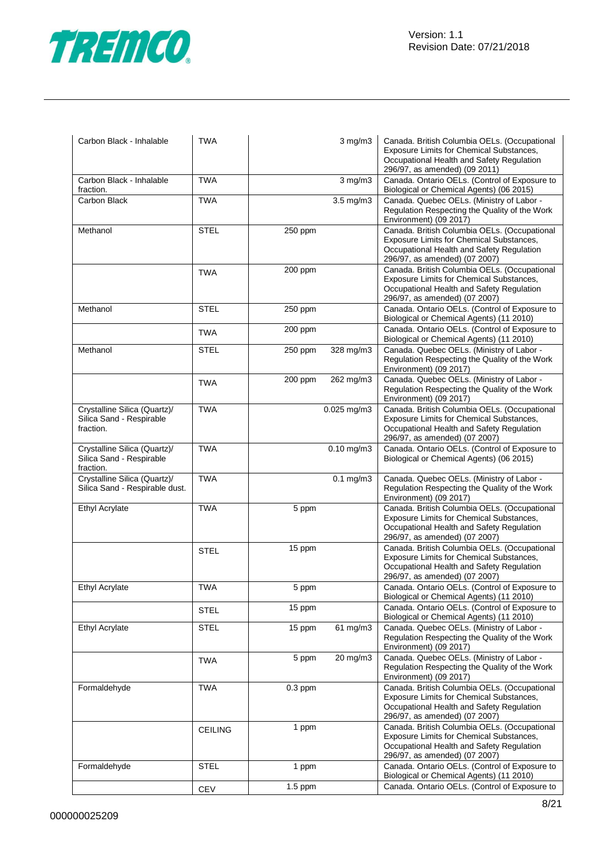

| Carbon Black - Inhalable                                              | <b>TWA</b>     |           | $3$ mg/m $3$      | Canada. British Columbia OELs. (Occupational<br>Exposure Limits for Chemical Substances,<br>Occupational Health and Safety Regulation<br>296/97, as amended) (09 2011) |
|-----------------------------------------------------------------------|----------------|-----------|-------------------|------------------------------------------------------------------------------------------------------------------------------------------------------------------------|
| Carbon Black - Inhalable<br>fraction.                                 | <b>TWA</b>     |           | $3$ mg/m $3$      | Canada. Ontario OELs. (Control of Exposure to<br>Biological or Chemical Agents) (06 2015)                                                                              |
| Carbon Black                                                          | <b>TWA</b>     |           | $3.5$ mg/m $3$    | Canada. Quebec OELs. (Ministry of Labor -<br>Regulation Respecting the Quality of the Work<br>Environment) (09 2017)                                                   |
| Methanol                                                              | <b>STEL</b>    | 250 ppm   |                   | Canada. British Columbia OELs. (Occupational<br>Exposure Limits for Chemical Substances,<br>Occupational Health and Safety Regulation<br>296/97, as amended) (07 2007) |
|                                                                       | <b>TWA</b>     | 200 ppm   |                   | Canada. British Columbia OELs. (Occupational<br>Exposure Limits for Chemical Substances,<br>Occupational Health and Safety Regulation<br>296/97, as amended) (07 2007) |
| Methanol                                                              | <b>STEL</b>    | 250 ppm   |                   | Canada. Ontario OELs. (Control of Exposure to<br>Biological or Chemical Agents) (11 2010)                                                                              |
|                                                                       | <b>TWA</b>     | 200 ppm   |                   | Canada. Ontario OELs. (Control of Exposure to<br>Biological or Chemical Agents) (11 2010)                                                                              |
| Methanol                                                              | STEL           | 250 ppm   | 328 mg/m3         | Canada. Quebec OELs. (Ministry of Labor -<br>Regulation Respecting the Quality of the Work<br>Environment) (09 2017)                                                   |
|                                                                       | <b>TWA</b>     | 200 ppm   | 262 mg/m3         | Canada. Quebec OELs. (Ministry of Labor -<br>Regulation Respecting the Quality of the Work<br>Environment) (09 2017)                                                   |
| Crystalline Silica (Quartz)/<br>Silica Sand - Respirable<br>fraction. | <b>TWA</b>     |           | $0.025$ mg/m $3$  | Canada. British Columbia OELs. (Occupational<br>Exposure Limits for Chemical Substances,<br>Occupational Health and Safety Regulation<br>296/97, as amended) (07 2007) |
| Crystalline Silica (Quartz)/<br>Silica Sand - Respirable<br>fraction. | <b>TWA</b>     |           | $0.10$ mg/m $3$   | Canada. Ontario OELs. (Control of Exposure to<br>Biological or Chemical Agents) (06 2015)                                                                              |
| Crystalline Silica (Quartz)/<br>Silica Sand - Respirable dust.        | <b>TWA</b>     |           | $0.1$ mg/m $3$    | Canada. Quebec OELs. (Ministry of Labor -<br>Regulation Respecting the Quality of the Work<br>Environment) (09 2017)                                                   |
| Ethyl Acrylate                                                        | <b>TWA</b>     | 5 ppm     |                   | Canada. British Columbia OELs. (Occupational<br>Exposure Limits for Chemical Substances,<br>Occupational Health and Safety Regulation<br>296/97, as amended) (07 2007) |
|                                                                       | <b>STEL</b>    | 15 ppm    |                   | Canada. British Columbia OELs. (Occupational<br>Exposure Limits for Chemical Substances,<br>Occupational Health and Safety Regulation<br>296/97, as amended) (07 2007) |
| Ethyl Acrylate                                                        | <b>TWA</b>     | 5 ppm     |                   | Canada. Ontario OELs. (Control of Exposure to<br>Biological or Chemical Agents) (11 2010)                                                                              |
|                                                                       | <b>STEL</b>    | 15 ppm    |                   | Canada. Ontario OELs. (Control of Exposure to<br>Biological or Chemical Agents) (11 2010)                                                                              |
| Ethyl Acrylate                                                        | <b>STEL</b>    | 15 ppm    | $61 \text{ mg/m}$ | Canada. Quebec OELs. (Ministry of Labor -<br>Regulation Respecting the Quality of the Work<br>Environment) (09 2017)                                                   |
|                                                                       | <b>TWA</b>     | 5 ppm     | 20 mg/m3          | Canada. Quebec OELs. (Ministry of Labor -<br>Regulation Respecting the Quality of the Work<br>Environment) (09 2017)                                                   |
| Formaldehyde                                                          | <b>TWA</b>     | $0.3$ ppm |                   | Canada. British Columbia OELs. (Occupational<br>Exposure Limits for Chemical Substances,<br>Occupational Health and Safety Regulation<br>296/97, as amended) (07 2007) |
|                                                                       | <b>CEILING</b> | 1 ppm     |                   | Canada. British Columbia OELs. (Occupational<br>Exposure Limits for Chemical Substances,<br>Occupational Health and Safety Regulation<br>296/97, as amended) (07 2007) |
| Formaldehyde                                                          | <b>STEL</b>    | 1 ppm     |                   | Canada. Ontario OELs. (Control of Exposure to<br>Biological or Chemical Agents) (11 2010)                                                                              |
|                                                                       | CEV            | $1.5$ ppm |                   | Canada. Ontario OELs. (Control of Exposure to                                                                                                                          |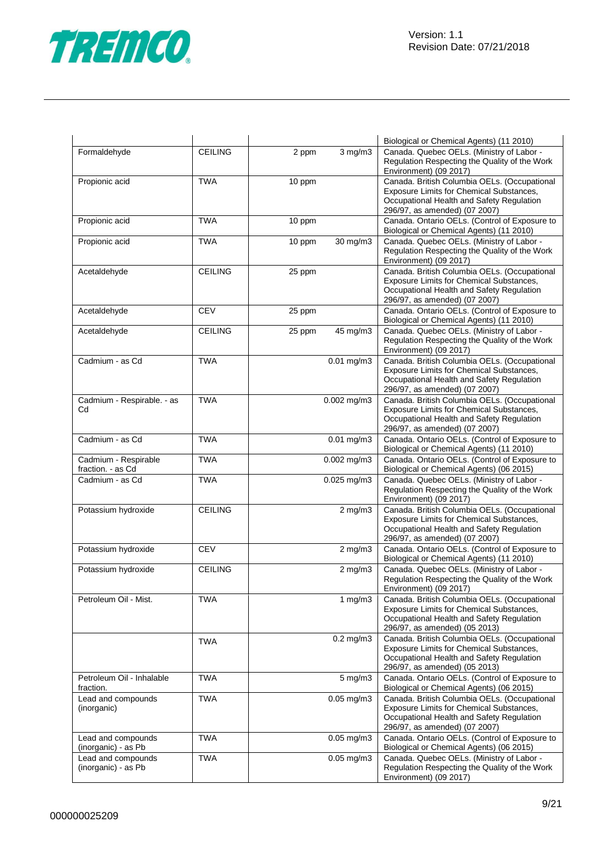

|                                           | <b>CEILING</b> |                       | Biological or Chemical Agents) (11 2010)<br>Canada. Quebec OELs. (Ministry of Labor -                                                                                  |
|-------------------------------------------|----------------|-----------------------|------------------------------------------------------------------------------------------------------------------------------------------------------------------------|
| Formaldehyde                              |                | 2 ppm<br>$3$ mg/m $3$ | Regulation Respecting the Quality of the Work<br>Environment) (09 2017)                                                                                                |
| Propionic acid                            | <b>TWA</b>     | 10 ppm                | Canada. British Columbia OELs. (Occupational<br>Exposure Limits for Chemical Substances,<br>Occupational Health and Safety Regulation<br>296/97, as amended) (07 2007) |
| Propionic acid                            | <b>TWA</b>     | 10 ppm                | Canada. Ontario OELs. (Control of Exposure to<br>Biological or Chemical Agents) (11 2010)                                                                              |
| Propionic acid                            | <b>TWA</b>     | 30 mg/m3<br>10 ppm    | Canada. Quebec OELs. (Ministry of Labor -<br>Regulation Respecting the Quality of the Work<br>Environment) (09 2017)                                                   |
| Acetaldehyde                              | <b>CEILING</b> | 25 ppm                | Canada. British Columbia OELs. (Occupational<br>Exposure Limits for Chemical Substances,<br>Occupational Health and Safety Regulation<br>296/97, as amended) (07 2007) |
| Acetaldehyde                              | <b>CEV</b>     | 25 ppm                | Canada. Ontario OELs. (Control of Exposure to<br>Biological or Chemical Agents) (11 2010)                                                                              |
| Acetaldehyde                              | <b>CEILING</b> | 45 mg/m3<br>25 ppm    | Canada. Quebec OELs. (Ministry of Labor -<br>Regulation Respecting the Quality of the Work<br>Environment) (09 2017)                                                   |
| Cadmium - as Cd                           | <b>TWA</b>     | $0.01$ mg/m $3$       | Canada. British Columbia OELs. (Occupational<br>Exposure Limits for Chemical Substances,<br>Occupational Health and Safety Regulation<br>296/97, as amended) (07 2007) |
| Cadmium - Respirable. - as<br>Cd          | <b>TWA</b>     | $0.002$ mg/m3         | Canada. British Columbia OELs. (Occupational<br>Exposure Limits for Chemical Substances,<br>Occupational Health and Safety Regulation<br>296/97, as amended) (07 2007) |
| Cadmium - as Cd                           | <b>TWA</b>     | $0.01$ mg/m $3$       | Canada. Ontario OELs. (Control of Exposure to<br>Biological or Chemical Agents) (11 2010)                                                                              |
| Cadmium - Respirable<br>fraction. - as Cd | <b>TWA</b>     | $0.002$ mg/m3         | Canada. Ontario OELs. (Control of Exposure to<br>Biological or Chemical Agents) (06 2015)                                                                              |
| Cadmium - as Cd                           | <b>TWA</b>     | $0.025$ mg/m $3$      | Canada. Quebec OELs. (Ministry of Labor -<br>Regulation Respecting the Quality of the Work<br>Environment) (09 2017)                                                   |
| Potassium hydroxide                       | <b>CEILING</b> | $2$ mg/m $3$          | Canada. British Columbia OELs. (Occupational<br>Exposure Limits for Chemical Substances,<br>Occupational Health and Safety Regulation<br>296/97, as amended) (07 2007) |
| Potassium hydroxide                       | <b>CEV</b>     | $2 \text{ mg/m}$      | Canada. Ontario OELs. (Control of Exposure to<br>Biological or Chemical Agents) (11 2010)                                                                              |
| Potassium hydroxide                       | <b>CEILING</b> | $2 \text{ mg/m}$      | Canada. Quebec OELs. (Ministry of Labor -<br>Regulation Respecting the Quality of the Work<br>Environment) (09 2017)                                                   |
| Petroleum Oil - Mist.                     | <b>TWA</b>     | 1 $mg/m3$             | Canada. British Columbia OELs. (Occupational<br>Exposure Limits for Chemical Substances,<br>Occupational Health and Safety Regulation<br>296/97, as amended) (05 2013) |
|                                           | <b>TWA</b>     | $0.2 \text{ mg/m}$ 3  | Canada. British Columbia OELs. (Occupational<br>Exposure Limits for Chemical Substances,<br>Occupational Health and Safety Regulation<br>296/97, as amended) (05 2013) |
| Petroleum Oil - Inhalable<br>fraction.    | <b>TWA</b>     | $5$ mg/m $3$          | Canada. Ontario OELs. (Control of Exposure to<br>Biological or Chemical Agents) (06 2015)                                                                              |
| Lead and compounds<br>(inorganic)         | <b>TWA</b>     | $0.05$ mg/m $3$       | Canada. British Columbia OELs. (Occupational<br>Exposure Limits for Chemical Substances,<br>Occupational Health and Safety Regulation<br>296/97, as amended) (07 2007) |
| Lead and compounds<br>(inorganic) - as Pb | <b>TWA</b>     | $0.05$ mg/m $3$       | Canada. Ontario OELs. (Control of Exposure to<br>Biological or Chemical Agents) (06 2015)                                                                              |
| Lead and compounds<br>(inorganic) - as Pb | <b>TWA</b>     | $0.05$ mg/m $3$       | Canada. Quebec OELs. (Ministry of Labor -<br>Regulation Respecting the Quality of the Work<br>Environment) (09 2017)                                                   |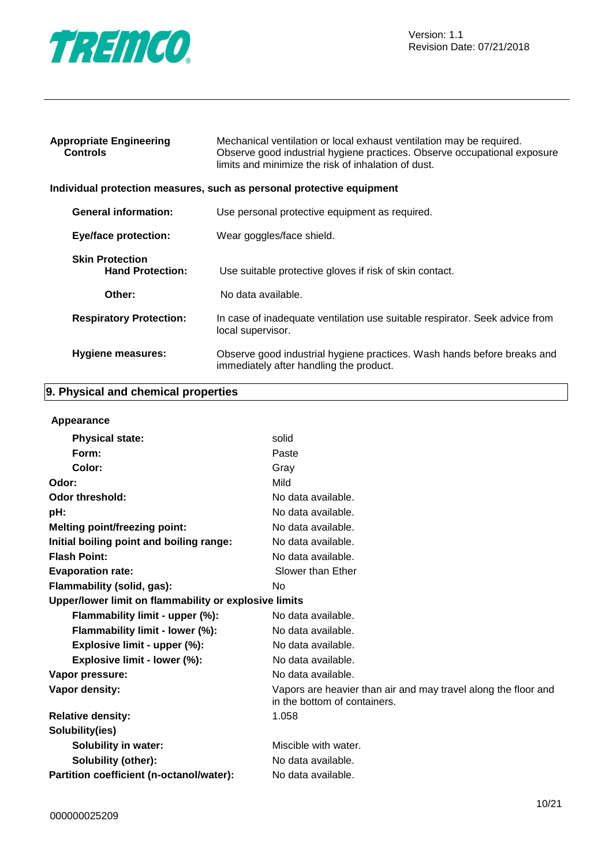

| <b>Appropriate Engineering</b><br><b>Controls</b> | Mechanical ventilation or local exhaust ventilation may be required.<br>Observe good industrial hygiene practices. Observe occupational exposure<br>limits and minimize the risk of inhalation of dust. |
|---------------------------------------------------|---------------------------------------------------------------------------------------------------------------------------------------------------------------------------------------------------------|
|                                                   | Individual protection measures, such as personal protective equipment                                                                                                                                   |
| <b>General information:</b>                       | Use personal protective equipment as required.                                                                                                                                                          |
| <b>Eye/face protection:</b>                       | Wear goggles/face shield.                                                                                                                                                                               |
| <b>Skin Protection</b><br><b>Hand Protection:</b> | Use suitable protective gloves if risk of skin contact.                                                                                                                                                 |
| Other:                                            | No data available.                                                                                                                                                                                      |
| <b>Respiratory Protection:</b>                    | In case of inadequate ventilation use suitable respirator. Seek advice from<br>local supervisor.                                                                                                        |
| <b>Hygiene measures:</b>                          | Observe good industrial hygiene practices. Wash hands before breaks and<br>immediately after handling the product.                                                                                      |

# **9. Physical and chemical properties**

#### **Appearance**

|                                                       | solid                                                                                          |
|-------------------------------------------------------|------------------------------------------------------------------------------------------------|
| <b>Physical state:</b>                                |                                                                                                |
| Form:                                                 | Paste                                                                                          |
| Color:                                                | Gray                                                                                           |
| Odor:                                                 | Mild                                                                                           |
| <b>Odor threshold:</b>                                | No data available.                                                                             |
| pH:                                                   | No data available.                                                                             |
| <b>Melting point/freezing point:</b>                  | No data available.                                                                             |
| Initial boiling point and boiling range:              | No data available.                                                                             |
| <b>Flash Point:</b>                                   | No data available.                                                                             |
| <b>Evaporation rate:</b>                              | Slower than Ether                                                                              |
| Flammability (solid, gas):                            | No                                                                                             |
| Upper/lower limit on flammability or explosive limits |                                                                                                |
| Flammability limit - upper (%):                       | No data available.                                                                             |
| Flammability limit - lower (%):                       | No data available.                                                                             |
| Explosive limit - upper (%):                          | No data available.                                                                             |
| Explosive limit - lower (%):                          | No data available.                                                                             |
| Vapor pressure:                                       | No data available.                                                                             |
| Vapor density:                                        | Vapors are heavier than air and may travel along the floor and<br>in the bottom of containers. |
| <b>Relative density:</b>                              | 1.058                                                                                          |
| Solubility(ies)                                       |                                                                                                |
| <b>Solubility in water:</b>                           | Miscible with water.                                                                           |
| <b>Solubility (other):</b>                            | No data available.                                                                             |
| Partition coefficient (n-octanol/water):              | No data available.                                                                             |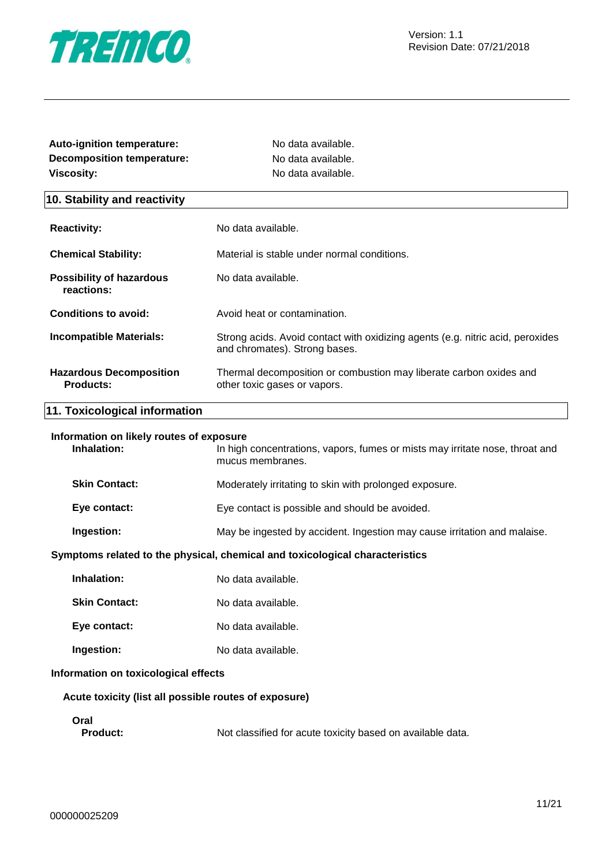

| <b>Auto-ignition temperature:</b> | No data available. |
|-----------------------------------|--------------------|
| Decomposition temperature:        | No data available. |
| Viscosity:                        | No data available. |

#### **10. Stability and reactivity**

| <b>Reactivity:</b>                                 | No data available.                                                                                              |
|----------------------------------------------------|-----------------------------------------------------------------------------------------------------------------|
| <b>Chemical Stability:</b>                         | Material is stable under normal conditions.                                                                     |
| <b>Possibility of hazardous</b><br>reactions:      | No data available.                                                                                              |
| Conditions to avoid:                               | Avoid heat or contamination.                                                                                    |
| <b>Incompatible Materials:</b>                     | Strong acids. Avoid contact with oxidizing agents (e.g. nitric acid, peroxides<br>and chromates). Strong bases. |
| <b>Hazardous Decomposition</b><br><b>Products:</b> | Thermal decomposition or combustion may liberate carbon oxides and<br>other toxic gases or vapors.              |

#### **11. Toxicological information**

#### **Information on likely routes of exposure**

| Inhalation:          | In high concentrations, vapors, fumes or mists may irritate nose, throat and<br>mucus membranes. |
|----------------------|--------------------------------------------------------------------------------------------------|
| <b>Skin Contact:</b> | Moderately irritating to skin with prolonged exposure.                                           |
| Eye contact:         | Eye contact is possible and should be avoided.                                                   |
| Ingestion:           | May be ingested by accident. Ingestion may cause irritation and malaise.                         |

#### **Symptoms related to the physical, chemical and toxicological characteristics**

- **Skin Contact:** No data available.
- **Eye contact:** No data available.
- **Ingestion:** No data available.

#### **Information on toxicological effects**

#### **Acute toxicity (list all possible routes of exposure)**

**Oral**

**Product:** Not classified for acute toxicity based on available data.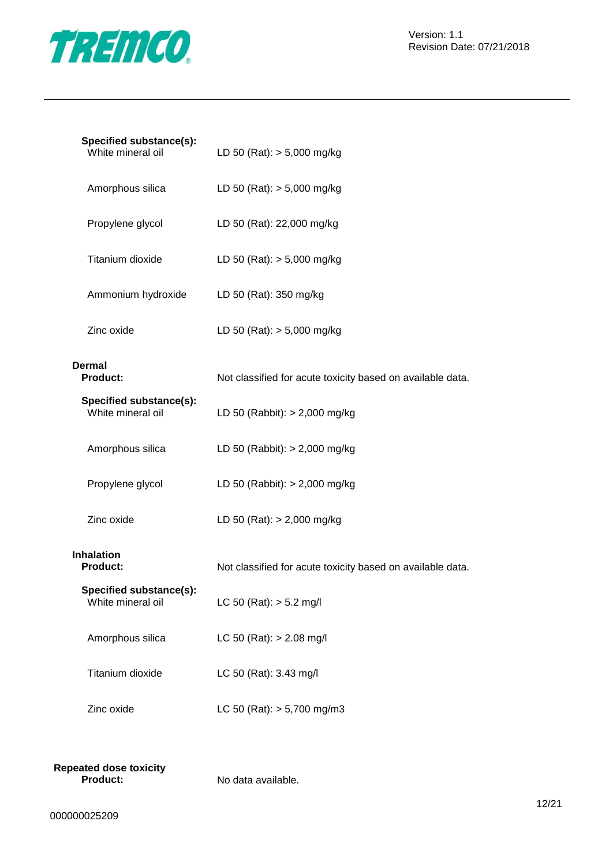

| Specified substance(s):<br>White mineral oil | LD 50 (Rat): $> 5,000$ mg/kg                               |
|----------------------------------------------|------------------------------------------------------------|
| Amorphous silica                             | LD 50 (Rat): $> 5,000$ mg/kg                               |
| Propylene glycol                             | LD 50 (Rat): 22,000 mg/kg                                  |
| Titanium dioxide                             | LD 50 (Rat): $> 5,000$ mg/kg                               |
| Ammonium hydroxide                           | LD 50 (Rat): 350 mg/kg                                     |
| Zinc oxide                                   | LD 50 (Rat): $> 5,000$ mg/kg                               |
| <b>Dermal</b><br><b>Product:</b>             | Not classified for acute toxicity based on available data. |
| Specified substance(s):<br>White mineral oil | LD 50 (Rabbit): $> 2,000$ mg/kg                            |
| Amorphous silica                             | LD 50 (Rabbit): $> 2,000$ mg/kg                            |
| Propylene glycol                             | LD 50 (Rabbit): $> 2,000$ mg/kg                            |
| Zinc oxide                                   | LD 50 (Rat): $> 2,000$ mg/kg                               |
| <b>Inhalation</b><br><b>Product:</b>         | Not classified for acute toxicity based on available data. |
| Specified substance(s):<br>White mineral oil | LC 50 (Rat): $> 5.2$ mg/l                                  |
| Amorphous silica                             | LC 50 (Rat): $> 2.08$ mg/l                                 |
| Titanium dioxide                             | LC 50 (Rat): 3.43 mg/l                                     |
| Zinc oxide                                   | LC 50 (Rat): $> 5,700$ mg/m3                               |

| <b>Repeated dose toxicity</b> |                    |
|-------------------------------|--------------------|
| <b>Product:</b>               | No data available. |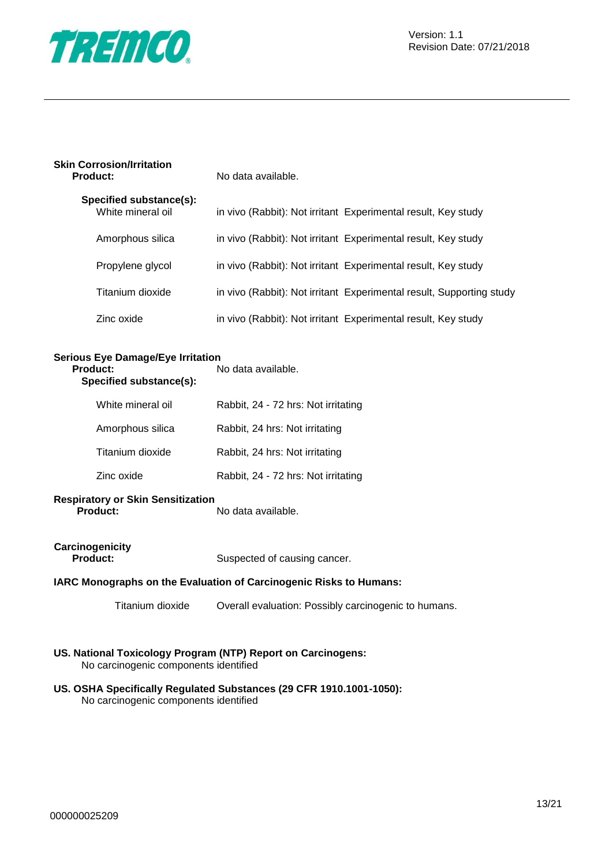

| <b>Skin Corrosion/Irritation</b> |  |
|----------------------------------|--|
| <b>Product:</b>                  |  |

**Product:** No data available.

| Specified substance(s):<br>White mineral oil | in vivo (Rabbit): Not irritant Experimental result, Key study        |
|----------------------------------------------|----------------------------------------------------------------------|
| Amorphous silica                             | in vivo (Rabbit): Not irritant Experimental result, Key study        |
| Propylene glycol                             | in vivo (Rabbit): Not irritant Experimental result, Key study        |
| Titanium dioxide                             | in vivo (Rabbit): Not irritant Experimental result, Supporting study |
| Zinc oxide                                   | in vivo (Rabbit): Not irritant Experimental result, Key study        |

# **Serious Eye Damage/Eye Irritation**

**Product:** No data available. **Specified substance(s):**

| White mineral oil | Rabbit, 24 - 72 hrs: Not irritating |
|-------------------|-------------------------------------|
| Amorphous silica  | Rabbit, 24 hrs: Not irritating      |
| Titanium dioxide  | Rabbit, 24 hrs: Not irritating      |
| Zinc oxide        | Rabbit, 24 - 72 hrs: Not irritating |

#### **Respiratory or Skin Sensitization Product:** No data available.

# **Carcinogenicity**

Suspected of causing cancer.

#### **IARC Monographs on the Evaluation of Carcinogenic Risks to Humans:**

Titanium dioxide Overall evaluation: Possibly carcinogenic to humans.

**US. National Toxicology Program (NTP) Report on Carcinogens:** No carcinogenic components identified

#### **US. OSHA Specifically Regulated Substances (29 CFR 1910.1001-1050):** No carcinogenic components identified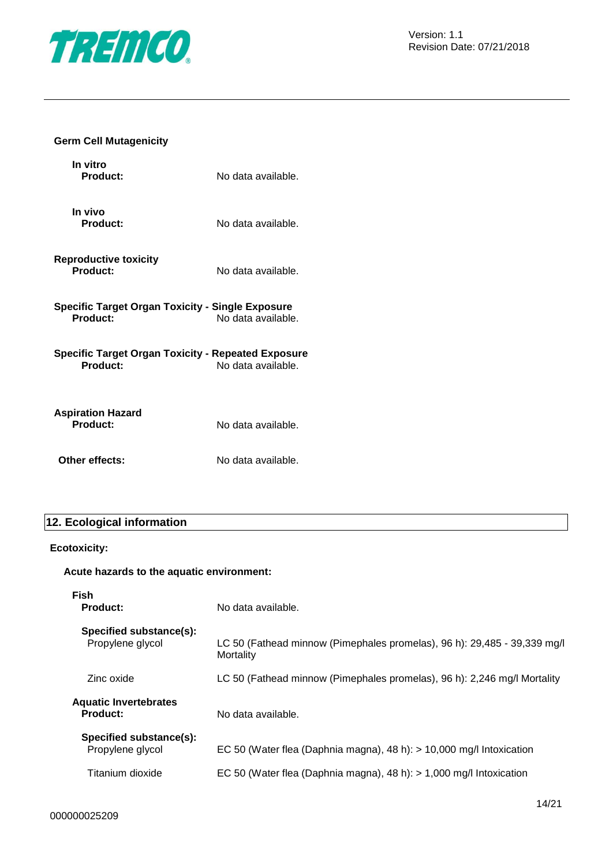

#### **Germ Cell Mutagenicity**

| In vitro<br>Product:                                                  | No data available. |
|-----------------------------------------------------------------------|--------------------|
| In vivo<br><b>Product:</b>                                            | No data available. |
| <b>Reproductive toxicity</b><br>Product:                              | No data available. |
| <b>Specific Target Organ Toxicity - Single Exposure</b><br>Product:   | No data available. |
| Specific Target Organ Toxicity - Repeated Exposure<br><b>Product:</b> | No data available. |
| <b>Aspiration Hazard</b><br><b>Product:</b>                           | No data available. |
| Other effects:                                                        | No data available. |

# **12. Ecological information**

#### **Ecotoxicity:**

#### **Acute hazards to the aquatic environment:**

| Fish<br><b>Product:</b>                         | No data available.                                                                    |
|-------------------------------------------------|---------------------------------------------------------------------------------------|
| Specified substance(s):<br>Propylene glycol     | LC 50 (Fathead minnow (Pimephales promelas), 96 h): 29,485 - 39,339 mg/l<br>Mortality |
| Zinc oxide                                      | LC 50 (Fathead minnow (Pimephales promelas), 96 h): 2,246 mg/l Mortality              |
| <b>Aquatic Invertebrates</b><br><b>Product:</b> | No data available.                                                                    |
| Specified substance(s):<br>Propylene glycol     | EC 50 (Water flea (Daphnia magna), 48 h): $> 10,000$ mg/l Intoxication                |
| Titanium dioxide                                | EC 50 (Water flea (Daphnia magna), 48 h): $> 1,000$ mg/l Intoxication                 |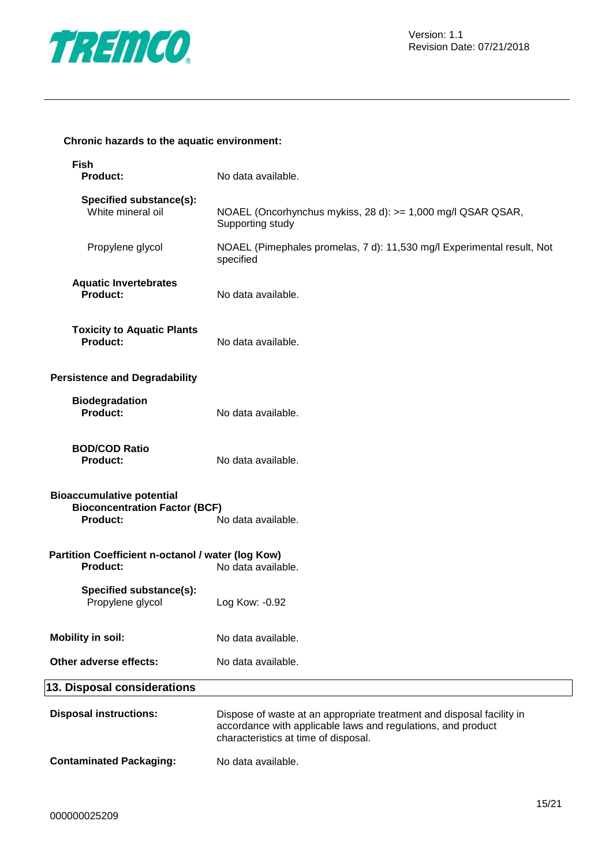

#### **Chronic hazards to the aquatic environment:**

| <b>Fish</b><br><b>Product:</b>                                                              | No data available.                                                                                                                                                            |  |
|---------------------------------------------------------------------------------------------|-------------------------------------------------------------------------------------------------------------------------------------------------------------------------------|--|
| Specified substance(s):<br>White mineral oil                                                | NOAEL (Oncorhynchus mykiss, 28 d): >= 1,000 mg/l QSAR QSAR,<br>Supporting study                                                                                               |  |
| Propylene glycol                                                                            | NOAEL (Pimephales promelas, 7 d): 11,530 mg/l Experimental result, Not<br>specified                                                                                           |  |
| <b>Aquatic Invertebrates</b><br>Product:                                                    | No data available.                                                                                                                                                            |  |
| <b>Toxicity to Aquatic Plants</b><br>Product:                                               | No data available.                                                                                                                                                            |  |
| <b>Persistence and Degradability</b>                                                        |                                                                                                                                                                               |  |
| <b>Biodegradation</b><br>Product:                                                           | No data available.                                                                                                                                                            |  |
| <b>BOD/COD Ratio</b><br><b>Product:</b>                                                     | No data available.                                                                                                                                                            |  |
| <b>Bioaccumulative potential</b><br><b>Bioconcentration Factor (BCF)</b><br><b>Product:</b> | No data available.                                                                                                                                                            |  |
| Partition Coefficient n-octanol / water (log Kow)<br><b>Product:</b><br>No data available.  |                                                                                                                                                                               |  |
| Specified substance(s):<br>Propylene glycol                                                 | Log Kow: -0.92                                                                                                                                                                |  |
| <b>Mobility in soil:</b>                                                                    | No data available.                                                                                                                                                            |  |
| Other adverse effects:                                                                      | No data available.                                                                                                                                                            |  |
| 13. Disposal considerations                                                                 |                                                                                                                                                                               |  |
| <b>Disposal instructions:</b>                                                               | Dispose of waste at an appropriate treatment and disposal facility in<br>accordance with applicable laws and regulations, and product<br>characteristics at time of disposal. |  |
|                                                                                             |                                                                                                                                                                               |  |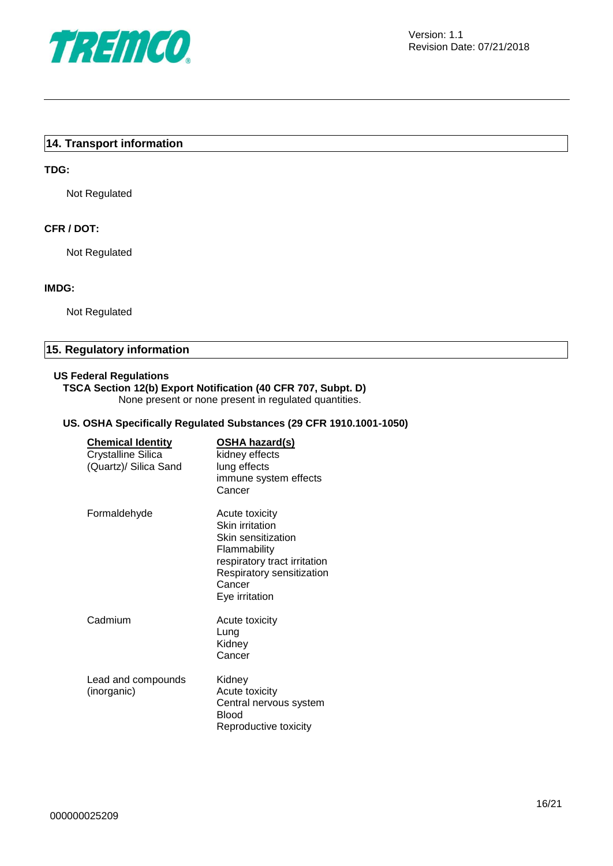

#### **14. Transport information**

#### **TDG:**

Not Regulated

#### **CFR / DOT:**

Not Regulated

#### **IMDG:**

Not Regulated

#### **15. Regulatory information**

#### **US Federal Regulations**

#### **TSCA Section 12(b) Export Notification (40 CFR 707, Subpt. D)**

None present or none present in regulated quantities.

#### **US. OSHA Specifically Regulated Substances (29 CFR 1910.1001-1050)**

| <b>Chemical Identity</b><br><b>Crystalline Silica</b><br>(Quartz)/ Silica Sand | <u>OSHA hazard(s)</u><br>kidney effects<br>lung effects<br>immune system effects<br>Cancer                                                                       |
|--------------------------------------------------------------------------------|------------------------------------------------------------------------------------------------------------------------------------------------------------------|
| Formaldehyde                                                                   | Acute toxicity<br>Skin irritation<br>Skin sensitization<br>Flammability<br>respiratory tract irritation<br>Respiratory sensitization<br>Cancer<br>Eye irritation |
| Cadmium                                                                        | Acute toxicity<br>Lung<br>Kidney<br>Cancer                                                                                                                       |
| Lead and compounds<br>(inorganic)                                              | Kidney<br>Acute toxicity<br>Central nervous system<br>Blood<br>Reproductive toxicity                                                                             |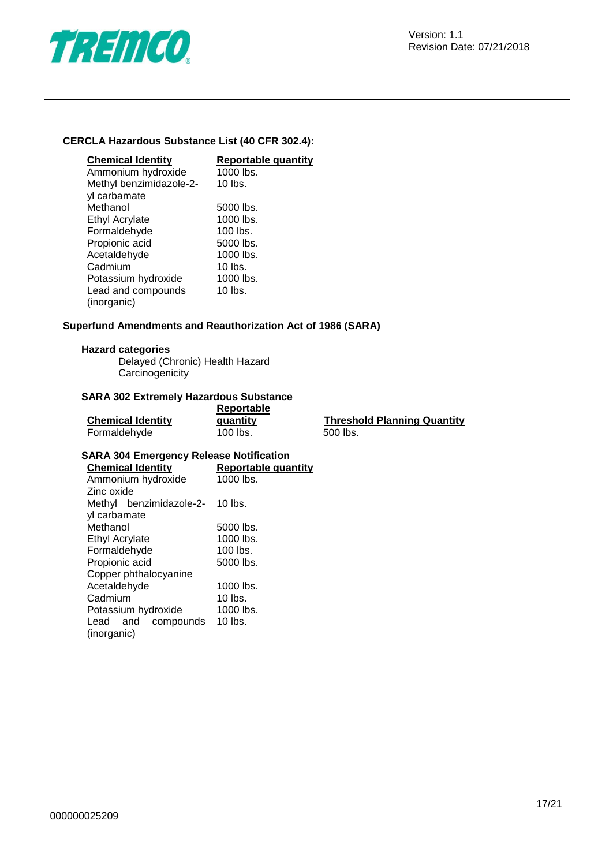

#### **CERCLA Hazardous Substance List (40 CFR 302.4):**

| <b>Chemical Identity</b> | <b>Reportable quantity</b> |
|--------------------------|----------------------------|
| Ammonium hydroxide       | 1000 lbs.                  |
| Methyl benzimidazole-2-  | $10$ lbs.                  |
| yl carbamate             |                            |
| Methanol                 | 5000 lbs.                  |
| <b>Ethyl Acrylate</b>    | 1000 lbs.                  |
| Formaldehyde             | $100$ lbs.                 |
| Propionic acid           | 5000 lbs.                  |
| Acetaldehyde             | 1000 lbs.                  |
| Cadmium                  | $10$ lbs.                  |
| Potassium hydroxide      | 1000 lbs.                  |
| Lead and compounds       | $10$ lbs.                  |
| (inorganic)              |                            |

#### **Superfund Amendments and Reauthorization Act of 1986 (SARA)**

#### **Hazard categories**

Delayed (Chronic) Health Hazard **Carcinogenicity** 

#### **SARA 302 Extremely Hazardous Substance**

|                          | Reportable |                                    |
|--------------------------|------------|------------------------------------|
| <b>Chemical Identity</b> | quantity   | <b>Threshold Planning Quantity</b> |
| Formaldehyde             | 100 lbs.   | .500 lbs.                          |

#### **SARA 304 Emergency Release Notification**

| <b>Chemical Identity</b> | <b>Reportable quantity</b> |  |
|--------------------------|----------------------------|--|
| Ammonium hydroxide       | 1000 lbs.                  |  |
| Zinc oxide               |                            |  |
| Methyl benzimidazole-2-  | $10$ lbs.                  |  |
| yl carbamate             |                            |  |
| Methanol                 | 5000 lbs.                  |  |
| Ethyl Acrylate           | 1000 lbs.                  |  |
| Formaldehyde             | $100$ lbs.                 |  |
| Propionic acid           | 5000 lbs.                  |  |
| Copper phthalocyanine    |                            |  |
| Acetaldehyde             | 1000 lbs.                  |  |
| Cadmium                  | $10$ lbs.                  |  |
| Potassium hydroxide      | 1000 lbs.                  |  |
| and compounds<br>Lead    | $10$ lbs.                  |  |
| (inorganic)              |                            |  |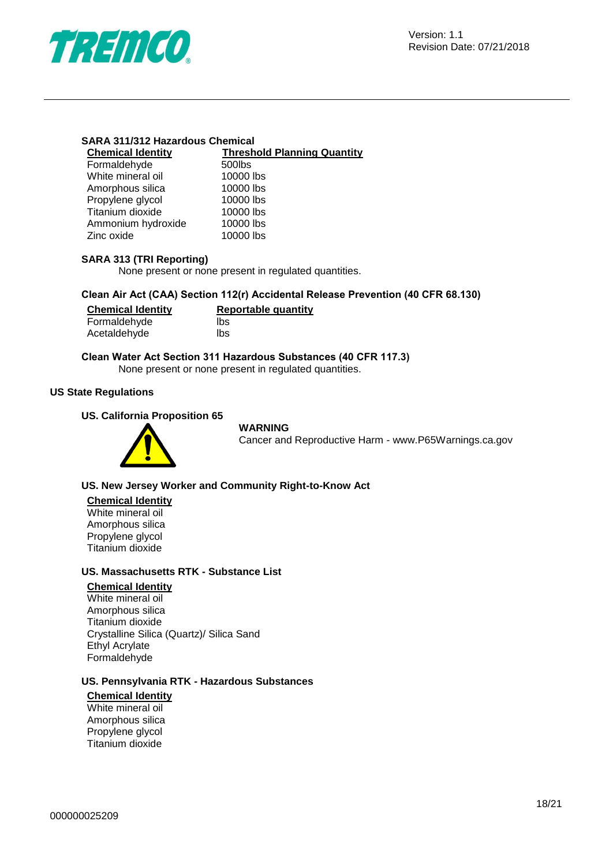

| <b>SARA 311/312 Hazardous Chemical</b> |  |
|----------------------------------------|--|
|----------------------------------------|--|

| <b>Chemical Identity</b> | <b>Threshold Planning Quantity</b> |
|--------------------------|------------------------------------|
| Formaldehyde             | 500lbs                             |
| White mineral oil        | 10000 lbs                          |
| Amorphous silica         | 10000 lbs                          |
| Propylene glycol         | 10000 lbs                          |
| Titanium dioxide         | 10000 lbs                          |
| Ammonium hydroxide       | 10000 lbs                          |
| Zinc oxide               | 10000 lbs                          |

#### **SARA 313 (TRI Reporting)**

None present or none present in regulated quantities.

#### **Clean Air Act (CAA) Section 112(r) Accidental Release Prevention (40 CFR 68.130)**

| <b>Chemical Identity</b> | <b>Reportable quantity</b> |
|--------------------------|----------------------------|
| Formaldehyde             | lbs                        |
| Acetaldehyde             | lbs                        |

#### **Clean Water Act Section 311 Hazardous Substances (40 CFR 117.3)**

None present or none present in regulated quantities.

#### **US State Regulations**

#### **US. California Proposition 65**



#### **WARNING**

Cancer and Reproductive Harm - www.P65Warnings.ca.gov

#### **US. New Jersey Worker and Community Right-to-Know Act**

#### **Chemical Identity**

White mineral oil Amorphous silica Propylene glycol Titanium dioxide

#### **US. Massachusetts RTK - Substance List**

#### **Chemical Identity**

White mineral oil Amorphous silica Titanium dioxide Crystalline Silica (Quartz)/ Silica Sand Ethyl Acrylate Formaldehyde

#### **US. Pennsylvania RTK - Hazardous Substances**

#### **Chemical Identity**

White mineral oil Amorphous silica Propylene glycol Titanium dioxide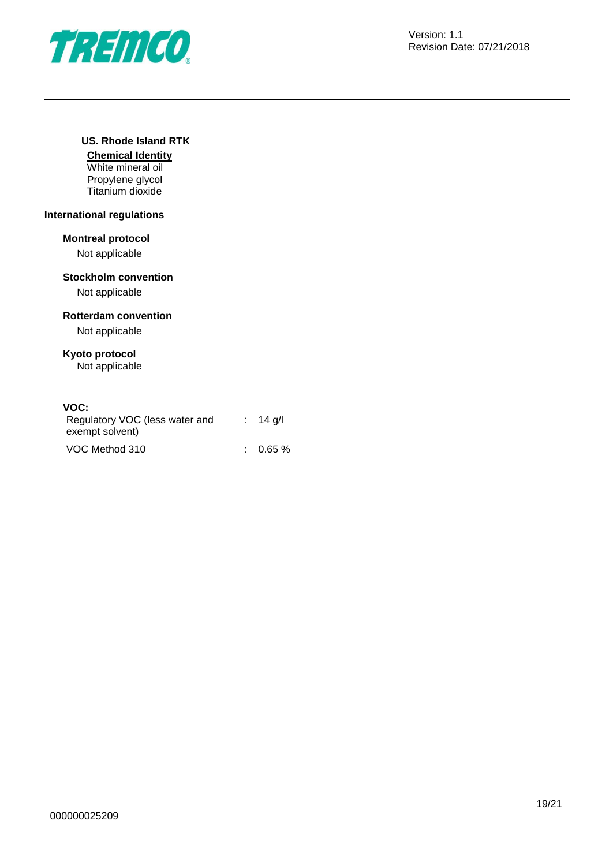

#### **US. Rhode Island RTK**

**Chemical Identity** White mineral oil Propylene glycol Titanium dioxide

#### **International regulations**

#### **Montreal protocol**

Not applicable

## **Stockholm convention**

Not applicable

#### **Rotterdam convention**

Not applicable

### **Kyoto protocol**

Not applicable

#### **VOC:**

| Regulatory VOC (less water and<br>exempt solvent) | $: 14$ g/l          |
|---------------------------------------------------|---------------------|
| VOC Method 310                                    | $\therefore$ 0.65 % |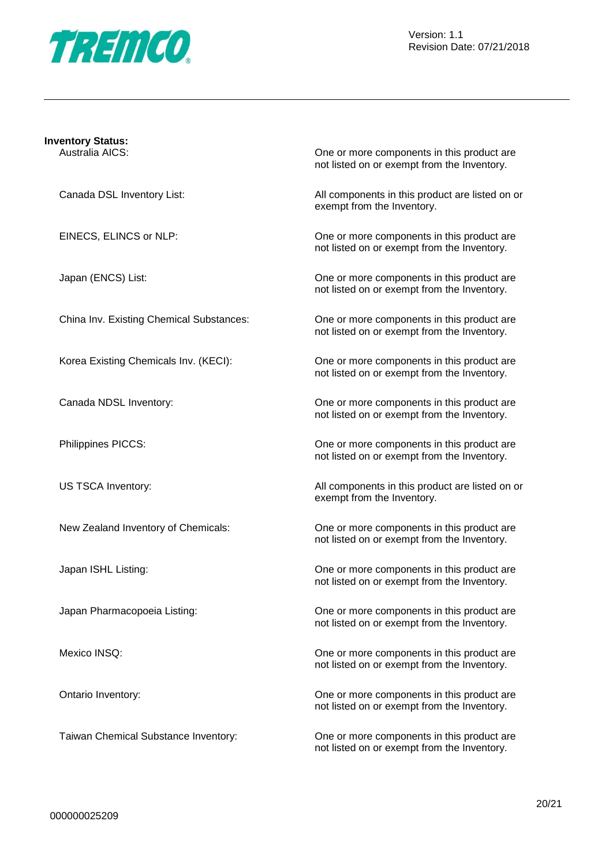

|  |   | <b>Inventory Status:</b> |  |
|--|---|--------------------------|--|
|  | . | $\cdots$                 |  |

Australia AICS: One or more components in this product are not listed on or exempt from the Inventory.

Canada DSL Inventory List: All components in this product are listed on or exempt from the Inventory.

EINECS, ELINCS or NLP: One or more components in this product are not listed on or exempt from the Inventory.

Japan (ENCS) List: One or more components in this product are not listed on or exempt from the Inventory.

China Inv. Existing Chemical Substances: One or more components in this product are not listed on or exempt from the Inventory.

Korea Existing Chemicals Inv. (KECI): One or more components in this product are not listed on or exempt from the Inventory.

Canada NDSL Inventory: One or more components in this product are not listed on or exempt from the Inventory.

Philippines PICCS: One or more components in this product are not listed on or exempt from the Inventory.

US TSCA Inventory: All components in this product are listed on or exempt from the Inventory.

New Zealand Inventory of Chemicals: One or more components in this product are not listed on or exempt from the Inventory.

Japan ISHL Listing: One or more components in this product are not listed on or exempt from the Inventory.

Japan Pharmacopoeia Listing: One or more components in this product are not listed on or exempt from the Inventory.

Mexico INSQ: Conservation of the original components in this product are more components in this product are not listed on or exempt from the Inventory.

Ontario Inventory: One or more components in this product are not listed on or exempt from the Inventory.

Taiwan Chemical Substance Inventory: One or more components in this product are not listed on or exempt from the Inventory.